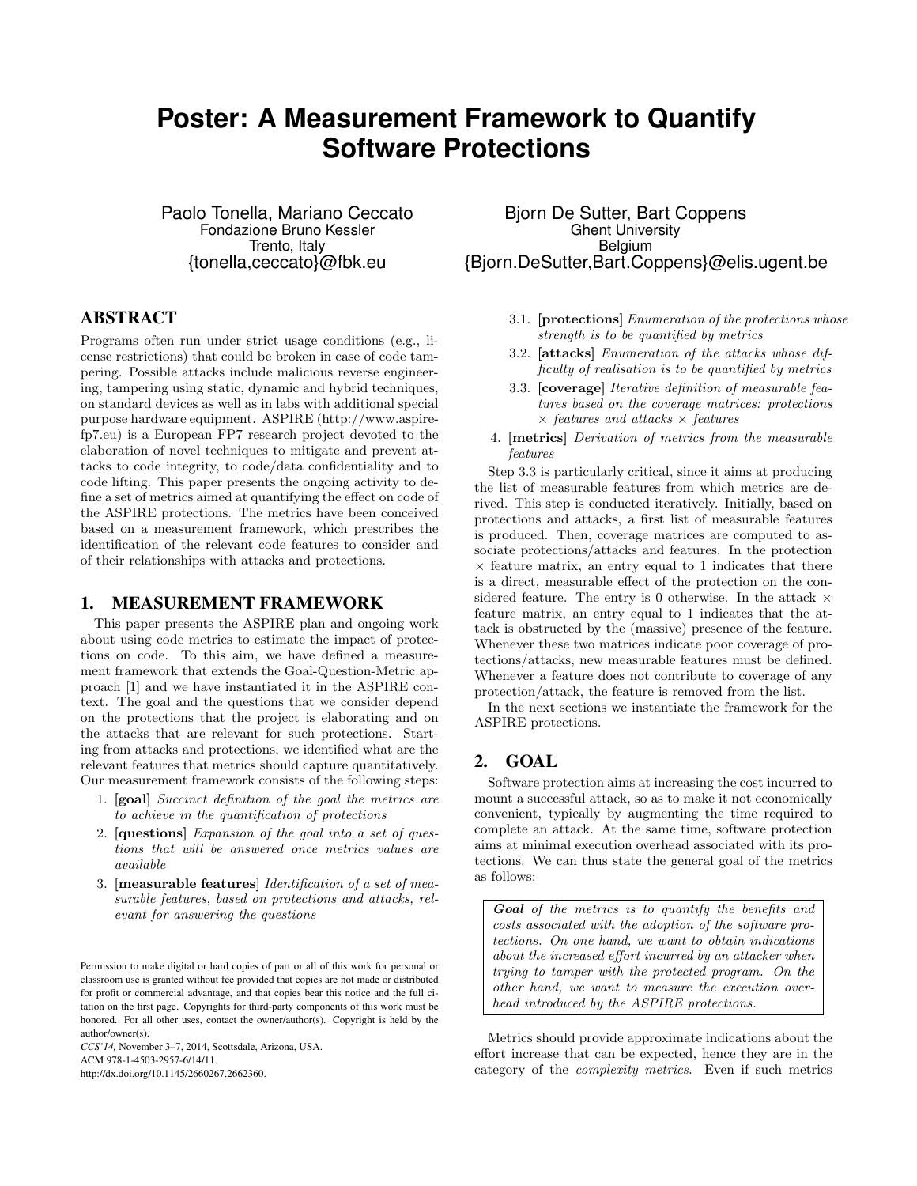# **Poster: A Measurement Framework to Quantify Software Protections**

Paolo Tonella, Mariano Ceccato Fondazione Bruno Kessler Trento, Italy {tonella,ceccato}@fbk.eu

# ABSTRACT

Programs often run under strict usage conditions (e.g., license restrictions) that could be broken in case of code tampering. Possible attacks include malicious reverse engineering, tampering using static, dynamic and hybrid techniques, on standard devices as well as in labs with additional special purpose hardware equipment. ASPIRE (http://www.aspirefp7.eu) is a European FP7 research project devoted to the elaboration of novel techniques to mitigate and prevent attacks to code integrity, to code/data confidentiality and to code lifting. This paper presents the ongoing activity to define a set of metrics aimed at quantifying the effect on code of the ASPIRE protections. The metrics have been conceived based on a measurement framework, which prescribes the identification of the relevant code features to consider and of their relationships with attacks and protections.

## 1. MEASUREMENT FRAMEWORK

This paper presents the ASPIRE plan and ongoing work about using code metrics to estimate the impact of protections on code. To this aim, we have defined a measurement framework that extends the Goal-Question-Metric approach [1] and we have instantiated it in the ASPIRE context. The goal and the questions that we consider depend on the protections that the project is elaborating and on the attacks that are relevant for such protections. Starting from attacks and protections, we identified what are the relevant features that metrics should capture quantitatively. Our measurement framework consists of the following steps:

- 1. [goal] Succinct definition of the goal the metrics are to achieve in the quantification of protections
- 2. [questions] Expansion of the goal into a set of questions that will be answered once metrics values are available
- 3. [measurable features] Identification of a set of measurable features, based on protections and attacks, relevant for answering the questions

*CCS'14,* November 3–7, 2014, Scottsdale, Arizona, USA. ACM 978-1-4503-2957-6/14/11. http://dx.doi.org/10.1145/2660267.2662360.

Bjorn De Sutter, Bart Coppens Ghent University Belgium {Bjorn.DeSutter,Bart.Coppens}@elis.ugent.be

- 3.1. [protections] Enumeration of the protections whose strength is to be quantified by metrics
- 3.2. [attacks] Enumeration of the attacks whose difficulty of realisation is to be quantified by metrics
- 3.3. [coverage] Iterative definition of measurable features based on the coverage matrices: protections  $\times$  features and attacks  $\times$  features
- 4. [metrics] Derivation of metrics from the measurable features

Step 3.3 is particularly critical, since it aims at producing the list of measurable features from which metrics are derived. This step is conducted iteratively. Initially, based on protections and attacks, a first list of measurable features is produced. Then, coverage matrices are computed to associate protections/attacks and features. In the protection  $\times$  feature matrix, an entry equal to 1 indicates that there is a direct, measurable effect of the protection on the considered feature. The entry is 0 otherwise. In the attack  $\times$ feature matrix, an entry equal to 1 indicates that the attack is obstructed by the (massive) presence of the feature. Whenever these two matrices indicate poor coverage of protections/attacks, new measurable features must be defined. Whenever a feature does not contribute to coverage of any protection/attack, the feature is removed from the list.

In the next sections we instantiate the framework for the ASPIRE protections.

# 2. GOAL

Software protection aims at increasing the cost incurred to mount a successful attack, so as to make it not economically convenient, typically by augmenting the time required to complete an attack. At the same time, software protection aims at minimal execution overhead associated with its protections. We can thus state the general goal of the metrics as follows:

Goal of the metrics is to quantify the benefits and costs associated with the adoption of the software protections. On one hand, we want to obtain indications about the increased effort incurred by an attacker when trying to tamper with the protected program. On the other hand, we want to measure the execution overhead introduced by the ASPIRE protections.

Metrics should provide approximate indications about the effort increase that can be expected, hence they are in the category of the complexity metrics. Even if such metrics

Permission to make digital or hard copies of part or all of this work for personal or classroom use is granted without fee provided that copies are not made or distributed for profit or commercial advantage, and that copies bear this notice and the full citation on the first page. Copyrights for third-party components of this work must be honored. For all other uses, contact the owner/author(s). Copyright is held by the author/owner(s).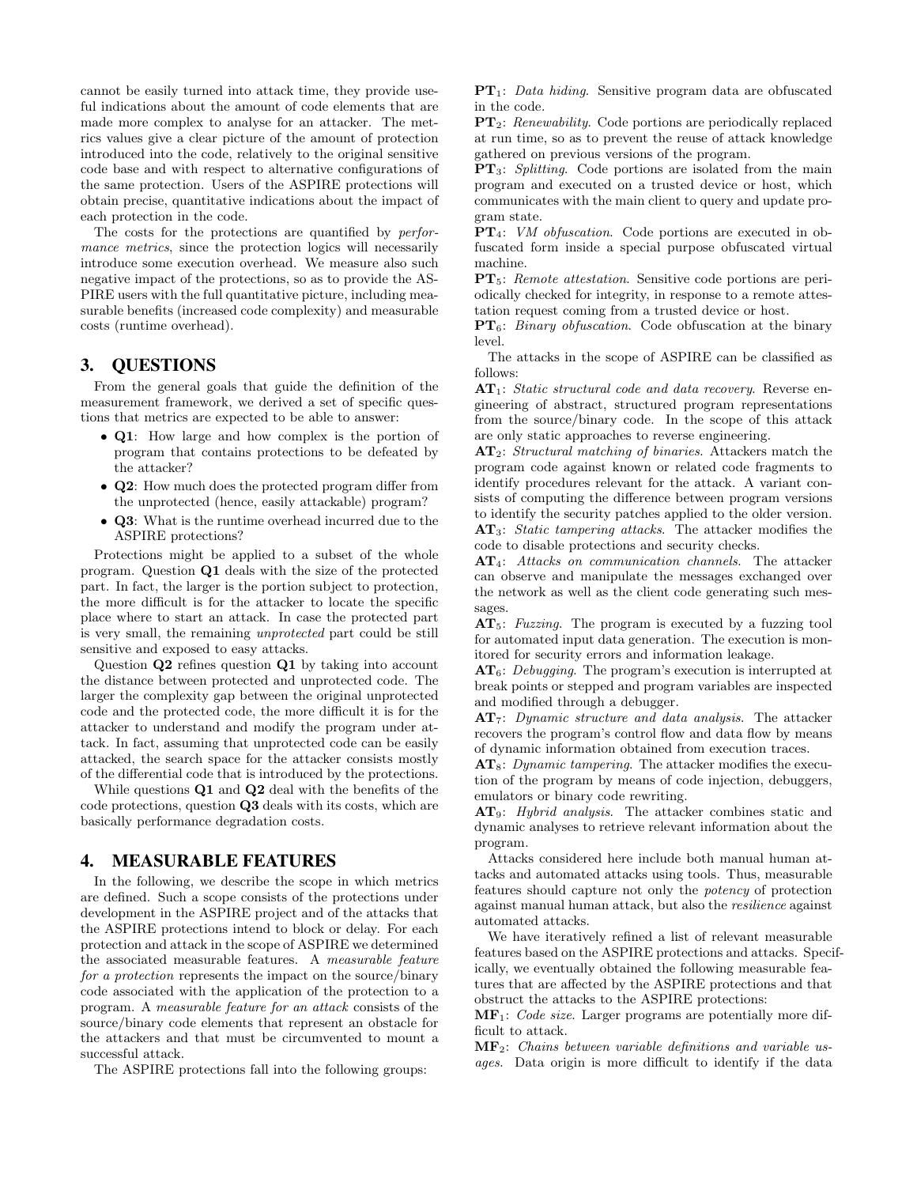cannot be easily turned into attack time, they provide useful indications about the amount of code elements that are made more complex to analyse for an attacker. The metrics values give a clear picture of the amount of protection introduced into the code, relatively to the original sensitive code base and with respect to alternative configurations of the same protection. Users of the ASPIRE protections will obtain precise, quantitative indications about the impact of each protection in the code.

The costs for the protections are quantified by performance metrics, since the protection logics will necessarily introduce some execution overhead. We measure also such negative impact of the protections, so as to provide the AS-PIRE users with the full quantitative picture, including measurable benefits (increased code complexity) and measurable costs (runtime overhead).

# 3. QUESTIONS

From the general goals that guide the definition of the measurement framework, we derived a set of specific questions that metrics are expected to be able to answer:

- Q1: How large and how complex is the portion of program that contains protections to be defeated by the attacker?
- Q2: How much does the protected program differ from the unprotected (hence, easily attackable) program?
- Q3: What is the runtime overhead incurred due to the ASPIRE protections?

Protections might be applied to a subset of the whole program. Question Q1 deals with the size of the protected part. In fact, the larger is the portion subject to protection, the more difficult is for the attacker to locate the specific place where to start an attack. In case the protected part is very small, the remaining unprotected part could be still sensitive and exposed to easy attacks.

Question Q2 refines question Q1 by taking into account the distance between protected and unprotected code. The larger the complexity gap between the original unprotected code and the protected code, the more difficult it is for the attacker to understand and modify the program under attack. In fact, assuming that unprotected code can be easily attacked, the search space for the attacker consists mostly of the differential code that is introduced by the protections.

While questions Q1 and Q2 deal with the benefits of the code protections, question Q3 deals with its costs, which are basically performance degradation costs.

#### 4. MEASURABLE FEATURES

In the following, we describe the scope in which metrics are defined. Such a scope consists of the protections under development in the ASPIRE project and of the attacks that the ASPIRE protections intend to block or delay. For each protection and attack in the scope of ASPIRE we determined the associated measurable features. A measurable feature for a protection represents the impact on the source/binary code associated with the application of the protection to a program. A measurable feature for an attack consists of the source/binary code elements that represent an obstacle for the attackers and that must be circumvented to mount a successful attack.

The ASPIRE protections fall into the following groups:

 $PT_1$ : *Data hiding*. Sensitive program data are obfuscated in the code.

PT2: Renewability. Code portions are periodically replaced at run time, so as to prevent the reuse of attack knowledge gathered on previous versions of the program.

PT3: Splitting. Code portions are isolated from the main program and executed on a trusted device or host, which communicates with the main client to query and update program state.

PT4: VM obfuscation. Code portions are executed in obfuscated form inside a special purpose obfuscated virtual machine.

PT5: Remote attestation. Sensitive code portions are periodically checked for integrity, in response to a remote attestation request coming from a trusted device or host.

 $PT_6$ : *Binary obfuscation*. Code obfuscation at the binary level.

The attacks in the scope of ASPIRE can be classified as follows:

 $AT_1$ : Static structural code and data recovery. Reverse engineering of abstract, structured program representations from the source/binary code. In the scope of this attack are only static approaches to reverse engineering.

AT2: Structural matching of binaries. Attackers match the program code against known or related code fragments to identify procedures relevant for the attack. A variant consists of computing the difference between program versions to identify the security patches applied to the older version.  $AT_3$ : *Static tampering attacks*. The attacker modifies the code to disable protections and security checks.

AT4: Attacks on communication channels. The attacker can observe and manipulate the messages exchanged over the network as well as the client code generating such messages.

 $AT_5$ : Fuzzing. The program is executed by a fuzzing tool for automated input data generation. The execution is monitored for security errors and information leakage.

 $AT_6$ : *Debugging*. The program's execution is interrupted at break points or stepped and program variables are inspected and modified through a debugger.

 $AT_7$ : Dynamic structure and data analysis. The attacker recovers the program's control flow and data flow by means of dynamic information obtained from execution traces.

 $AT_8$ : Dynamic tampering. The attacker modifies the execution of the program by means of code injection, debuggers, emulators or binary code rewriting.

AT9: Hybrid analysis. The attacker combines static and dynamic analyses to retrieve relevant information about the program.

Attacks considered here include both manual human attacks and automated attacks using tools. Thus, measurable features should capture not only the potency of protection against manual human attack, but also the resilience against automated attacks.

We have iteratively refined a list of relevant measurable features based on the ASPIRE protections and attacks. Specifically, we eventually obtained the following measurable features that are affected by the ASPIRE protections and that obstruct the attacks to the ASPIRE protections:

 $MF_1$ : *Code size*. Larger programs are potentially more difficult to attack.

MF2: Chains between variable definitions and variable usages. Data origin is more difficult to identify if the data